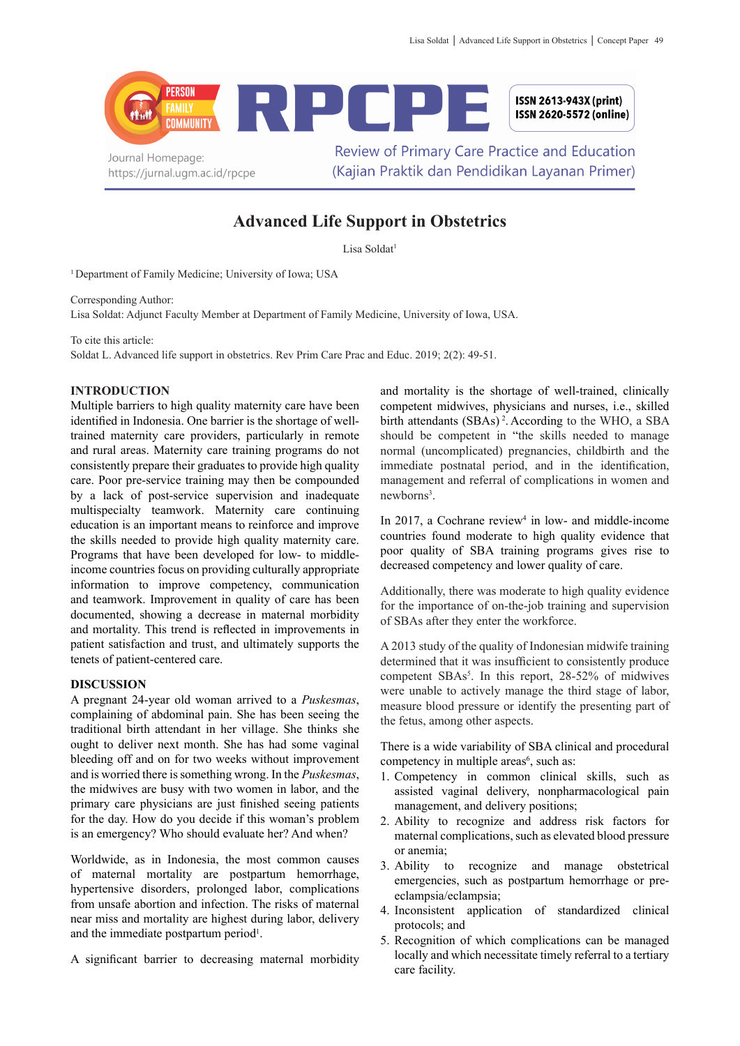

## **Advanced Life Support in Obstetrics**

Lisa Soldat<sup>1</sup>

1 Department of Family Medicine; University of Iowa; USA

Corresponding Author:

Lisa Soldat: Adjunct Faculty Member at Department of Family Medicine, University of Iowa, USA.

To cite this article:

Soldat L. Advanced life support in obstetrics. Rev Prim Care Prac and Educ. 2019; 2(2): 49-51.

## **INTRODUCTION**

Multiple barriers to high quality maternity care have been identified in Indonesia. One barrier is the shortage of welltrained maternity care providers, particularly in remote and rural areas. Maternity care training programs do not consistently prepare their graduates to provide high quality care. Poor pre-service training may then be compounded by a lack of post-service supervision and inadequate multispecialty teamwork. Maternity care continuing education is an important means to reinforce and improve the skills needed to provide high quality maternity care. Programs that have been developed for low- to middleincome countries focus on providing culturally appropriate information to improve competency, communication and teamwork. Improvement in quality of care has been documented, showing a decrease in maternal morbidity and mortality. This trend is reflected in improvements in patient satisfaction and trust, and ultimately supports the tenets of patient-centered care.

## **DISCUSSION**

A pregnant 24-year old woman arrived to a *Puskesmas*, complaining of abdominal pain. She has been seeing the traditional birth attendant in her village. She thinks she ought to deliver next month. She has had some vaginal bleeding off and on for two weeks without improvement and is worried there is something wrong. In the *Puskesmas*, the midwives are busy with two women in labor, and the primary care physicians are just finished seeing patients for the day. How do you decide if this woman's problem is an emergency? Who should evaluate her? And when?

Worldwide, as in Indonesia, the most common causes of maternal mortality are postpartum hemorrhage, hypertensive disorders, prolonged labor, complications from unsafe abortion and infection. The risks of maternal near miss and mortality are highest during labor, delivery and the immediate postpartum period<sup>1</sup>.

A significant barrier to decreasing maternal morbidity

and mortality is the shortage of well-trained, clinically competent midwives, physicians and nurses, i.e., skilled birth attendants (SBAs)<sup>2</sup>. According to the WHO, a SBA should be competent in "the skills needed to manage normal (uncomplicated) pregnancies, childbirth and the immediate postnatal period, and in the identification, management and referral of complications in women and newborns<sup>3</sup>.

In 2017, a Cochrane review<sup>4</sup> in low- and middle-income countries found moderate to high quality evidence that poor quality of SBA training programs gives rise to decreased competency and lower quality of care.

Additionally, there was moderate to high quality evidence for the importance of on-the-job training and supervision of SBAs after they enter the workforce.

A 2013 study of the quality of Indonesian midwife training determined that it was insufficient to consistently produce competent SBAs<sup>5</sup>. In this report, 28-52% of midwives were unable to actively manage the third stage of labor, measure blood pressure or identify the presenting part of the fetus, among other aspects.

There is a wide variability of SBA clinical and procedural competency in multiple areas<sup>6</sup>, such as:

- 1. Competency in common clinical skills, such as assisted vaginal delivery, nonpharmacological pain management, and delivery positions;
- 2. Ability to recognize and address risk factors for maternal complications, such as elevated blood pressure or anemia;
- 3. Ability to recognize and manage obstetrical emergencies, such as postpartum hemorrhage or preeclampsia/eclampsia;
- 4. Inconsistent application of standardized clinical protocols; and
- 5. Recognition of which complications can be managed locally and which necessitate timely referral to a tertiary care facility.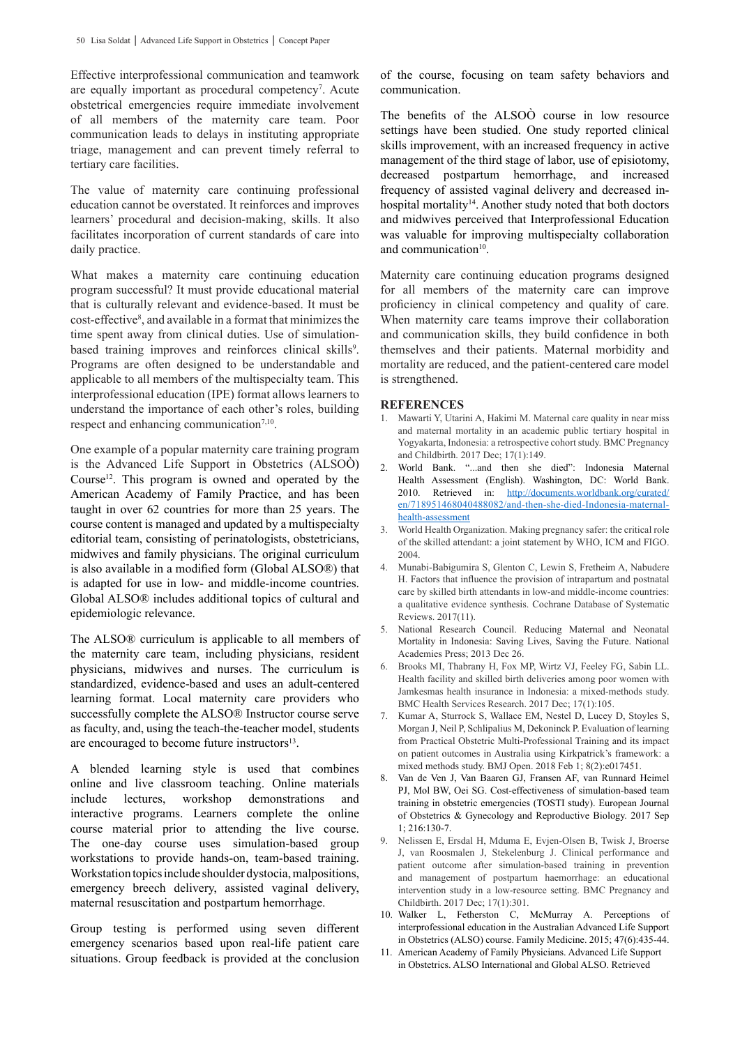Effective interprofessional communication and teamwork are equally important as procedural competency<sup>7</sup>. Acute obstetrical emergencies require immediate involvement of all members of the maternity care team. Poor communication leads to delays in instituting appropriate triage, management and can prevent timely referral to tertiary care facilities.

The value of maternity care continuing professional education cannot be overstated. It reinforces and improves learners' procedural and decision-making, skills. It also facilitates incorporation of current standards of care into daily practice.

What makes a maternity care continuing education program successful? It must provide educational material that is culturally relevant and evidence-based. It must be cost-effective<sup>8</sup>, and available in a format that minimizes the time spent away from clinical duties. Use of simulationbased training improves and reinforces clinical skills<sup>9</sup>. Programs are often designed to be understandable and applicable to all members of the multispecialty team. This interprofessional education (IPE) format allows learners to understand the importance of each other's roles, building respect and enhancing communication<sup>7,10</sup>.

One example of a popular maternity care training program is the Advanced Life Support in Obstetrics (ALSOÒ) Course12. This program is owned and operated by the American Academy of Family Practice, and has been taught in over 62 countries for more than 25 years. The course content is managed and updated by a multispecialty editorial team, consisting of perinatologists, obstetricians, midwives and family physicians. The original curriculum is also available in a modified form (Global ALSO®) that is adapted for use in low- and middle-income countries. Global ALSO® includes additional topics of cultural and epidemiologic relevance.

The ALSO® curriculum is applicable to all members of the maternity care team, including physicians, resident physicians, midwives and nurses. The curriculum is standardized, evidence-based and uses an adult-centered learning format. Local maternity care providers who successfully complete the ALSO® Instructor course serve as faculty, and, using the teach-the-teacher model, students are encouraged to become future instructors<sup>13</sup>.

A blended learning style is used that combines online and live classroom teaching. Online materials include lectures, workshop demonstrations and interactive programs. Learners complete the online course material prior to attending the live course. The one-day course uses simulation-based group workstations to provide hands-on, team-based training. Workstation topics include shoulder dystocia, malpositions, emergency breech delivery, assisted vaginal delivery, maternal resuscitation and postpartum hemorrhage.

Group testing is performed using seven different emergency scenarios based upon real-life patient care situations. Group feedback is provided at the conclusion

of the course, focusing on team safety behaviors and communication.

The benefits of the ALSOÒ course in low resource settings have been studied. One study reported clinical skills improvement, with an increased frequency in active management of the third stage of labor, use of episiotomy, decreased postpartum hemorrhage, and increased frequency of assisted vaginal delivery and decreased inhospital mortality<sup>14</sup>. Another study noted that both doctors and midwives perceived that Interprofessional Education was valuable for improving multispecialty collaboration and communication<sup>10</sup>.

Maternity care continuing education programs designed for all members of the maternity care can improve proficiency in clinical competency and quality of care. When maternity care teams improve their collaboration and communication skills, they build confidence in both themselves and their patients. Maternal morbidity and mortality are reduced, and the patient-centered care model is strengthened.

## **REFERENCES**

- 1. Mawarti Y, Utarini A, Hakimi M. Maternal care quality in near miss and maternal mortality in an academic public tertiary hospital in Yogyakarta, Indonesia: a retrospective cohort study. BMC Pregnancy and Childbirth. 2017 Dec; 17(1):149.
- 2. World Bank. "...and then she died": Indonesia Maternal Health Assessment (English). Washington, DC: World Bank. 2010. Retrieved in: http://documents.worldbank.org/curated/ en/718951468040488082/and-then-she-died-Indonesia-maternalhealth-assessment
- 3. World Health Organization. Making pregnancy safer: the critical role of the skilled attendant: a joint statement by WHO, ICM and FIGO. 2004.
- 4. Munabi-Babigumira S, Glenton C, Lewin S, Fretheim A, Nabudere H. Factors that influence the provision of intrapartum and postnatal care by skilled birth attendants in low-and middle-income countries: a qualitative evidence synthesis. Cochrane Database of Systematic Reviews. 2017(11).
- 5. National Research Council. Reducing Maternal and Neonatal Mortality in Indonesia: Saving Lives, Saving the Future. National Academies Press; 2013 Dec 26.
- 6. Brooks MI, Thabrany H, Fox MP, Wirtz VJ, Feeley FG, Sabin LL. Health facility and skilled birth deliveries among poor women with Jamkesmas health insurance in Indonesia: a mixed-methods study. BMC Health Services Research. 2017 Dec; 17(1):105.
- 7. Kumar A, Sturrock S, Wallace EM, Nestel D, Lucey D, Stoyles S, Morgan J, Neil P, Schlipalius M, Dekoninck P. Evaluation of learning from Practical Obstetric Multi-Professional Training and its impact on patient outcomes in Australia using Kirkpatrick's framework: a mixed methods study. BMJ Open. 2018 Feb 1; 8(2):e017451.
- 8. Van de Ven J, Van Baaren GJ, Fransen AF, van Runnard Heimel PJ, Mol BW, Oei SG. Cost-effectiveness of simulation-based team training in obstetric emergencies (TOSTI study). European Journal of Obstetrics & Gynecology and Reproductive Biology. 2017 Sep 1; 216:130-7.
- 9. Nelissen E, Ersdal H, Mduma E, Evjen-Olsen B, Twisk J, Broerse J, van Roosmalen J, Stekelenburg J. Clinical performance and patient outcome after simulation-based training in prevention and management of postpartum haemorrhage: an educational intervention study in a low-resource setting. BMC Pregnancy and Childbirth. 2017 Dec; 17(1):301.
- 10. Walker L, Fetherston C, McMurray A. Perceptions of interprofessional education in the Australian Advanced Life Support in Obstetrics (ALSO) course. Family Medicine. 2015; 47(6):435-44.
- 11. American Academy of Family Physicians. Advanced Life Support in Obstetrics. ALSO International and Global ALSO. Retrieved